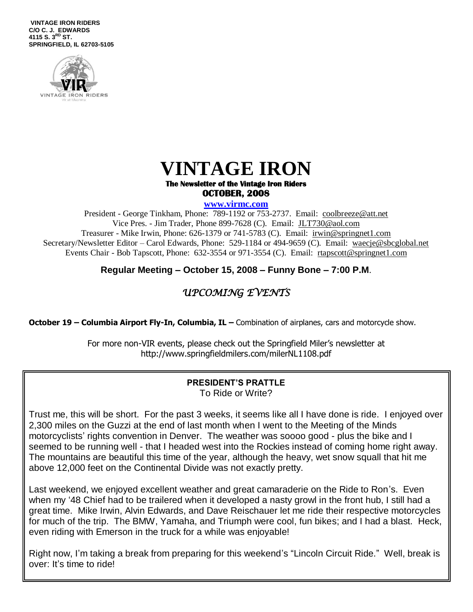**VINTAGE IRON RIDERS C/O C. J. EDWARDS 4115 S. 3 RD ST. SPRINGFIELD, IL 62703-5105**



### **VINTAGE IRON The Newsletter of the Vintage Iron Riders**

## **OCTOBER, 2008**

**www.virmc.com** 

President - George Tinkham, Phone: 789-1192 or 753-2737. Email: [coolbreeze@att.net](mailto:coolbreeze@att.net) Vice Pres. - Jim Trader, Phone 899-7628 (C). Email: [JLT730@aol.com](mailto:JLT730@aol.com) Treasurer - Mike Irwin, Phone: 626-1379 or 741-5783 (C). Email: irwin@springnet1.com Secretary/Newsletter Editor – Carol Edwards, Phone: 529-1184 or 494-9659 (C). Email: waecje@sbcglobal.net Events Chair - Bob Tapscott, Phone: 632-3554 or 971-3554 (C). Email: [rtapscott@springnet1.com](mailto:rtapscott@springnet1.com)

**Regular Meeting – October 15, 2008 – Funny Bone – 7:00 P.M**.

### *UPCOMING EVENTS*

**October 19 – Columbia Airport Fly-In, Columbia, IL – Combination of airplanes, cars and motorcycle show.** 

For more non-VIR events, please check out the Springfield Miler's newsletter at http://www.springfieldmilers.com/milerNL1108.pdf

#### **PRESIDENT'S PRATTLE** To Ride or Write?

Trust me, this will be short. For the past 3 weeks, it seems like all I have done is ride. I enjoyed over 2,300 miles on the Guzzi at the end of last month when I went to the Meeting of the Minds motorcyclists' rights convention in Denver. The weather was soooo good - plus the bike and I seemed to be running well - that I headed west into the Rockies instead of coming home right away. The mountains are beautiful this time of the year, although the heavy, wet snow squall that hit me above 12,000 feet on the Continental Divide was not exactly pretty.

Last weekend, we enjoyed excellent weather and great camaraderie on the Ride to Ron's. Even when my '48 Chief had to be trailered when it developed a nasty growl in the front hub, I still had a great time. Mike Irwin, Alvin Edwards, and Dave Reischauer let me ride their respective motorcycles for much of the trip. The BMW, Yamaha, and Triumph were cool, fun bikes; and I had a blast. Heck, even riding with Emerson in the truck for a while was enjoyable!

Right now, I'm taking a break from preparing for this weekend's "Lincoln Circuit Ride." Well, break is over: It's time to ride!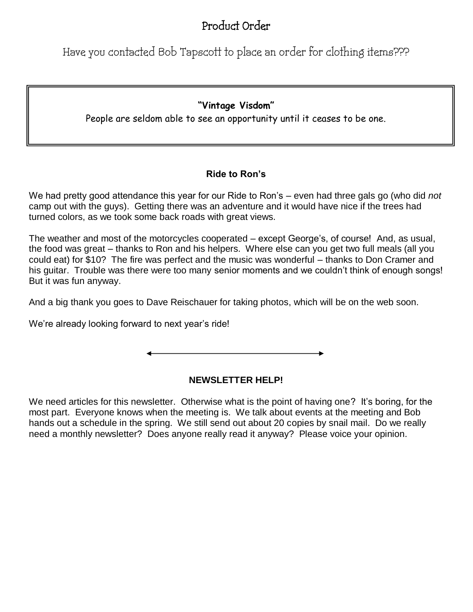## Product Order

Have you contacted Bob Tapscott to place an order for clothing items???

#### **"Vintage Visdom"**

People are seldom able to see an opportunity until it ceases to be one.

#### **Ride to Ron's**

We had pretty good attendance this year for our Ride to Ron's – even had three gals go (who did *not* camp out with the guys). Getting there was an adventure and it would have nice if the trees had turned colors, as we took some back roads with great views.

The weather and most of the motorcycles cooperated – except George's, of course! And, as usual, the food was great – thanks to Ron and his helpers. Where else can you get two full meals (all you could eat) for \$10? The fire was perfect and the music was wonderful – thanks to Don Cramer and his guitar. Trouble was there were too many senior moments and we couldn't think of enough songs! But it was fun anyway.

And a big thank you goes to Dave Reischauer for taking photos, which will be on the web soon.

We're already looking forward to next year's ride!

#### **NEWSLETTER HELP!**

We need articles for this newsletter. Otherwise what is the point of having one? It's boring, for the most part. Everyone knows when the meeting is. We talk about events at the meeting and Bob hands out a schedule in the spring. We still send out about 20 copies by snail mail. Do we really need a monthly newsletter? Does anyone really read it anyway? Please voice your opinion.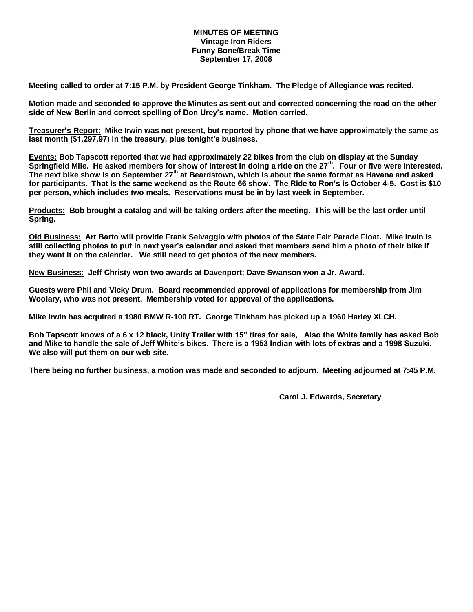#### **MINUTES OF MEETING Vintage Iron Riders Funny Bone/Break Time September 17, 2008**

**Meeting called to order at 7:15 P.M. by President George Tinkham. The Pledge of Allegiance was recited.**

**Motion made and seconded to approve the Minutes as sent out and corrected concerning the road on the other side of New Berlin and correct spelling of Don Urey's name. Motion carried.**

**Treasurer's Report: Mike Irwin was not present, but reported by phone that we have approximately the same as last month (\$1,297.97) in the treasury, plus tonight's business.**

**Events: Bob Tapscott reported that we had approximately 22 bikes from the club on display at the Sunday Springfield Mile. He asked members for show of interest in doing a ride on the 27th. Four or five were interested. The next bike show is on September 27th at Beardstown, which is about the same format as Havana and asked for participants. That is the same weekend as the Route 66 show. The Ride to Ron's is October 4-5. Cost is \$10 per person, which includes two meals. Reservations must be in by last week in September.**

**Products: Bob brought a catalog and will be taking orders after the meeting. This will be the last order until Spring.**

**Old Business: Art Barto will provide Frank Selvaggio with photos of the State Fair Parade Float. Mike Irwin is still collecting photos to put in next year's calendar and asked that members send him a photo of their bike if they want it on the calendar. We still need to get photos of the new members.** 

**New Business: Jeff Christy won two awards at Davenport; Dave Swanson won a Jr. Award.**

**Guests were Phil and Vicky Drum. Board recommended approval of applications for membership from Jim Woolary, who was not present. Membership voted for approval of the applications.** 

**Mike Irwin has acquired a 1980 BMW R-100 RT. George Tinkham has picked up a 1960 Harley XLCH.**

**Bob Tapscott knows of a 6 x 12 black, Unity Trailer with 15" tires for sale, Also the White family has asked Bob and Mike to handle the sale of Jeff White's bikes. There is a 1953 Indian with lots of extras and a 1998 Suzuki. We also will put them on our web site.**

**There being no further business, a motion was made and seconded to adjourn. Meeting adjourned at 7:45 P.M.**

**Carol J. Edwards, Secretary**